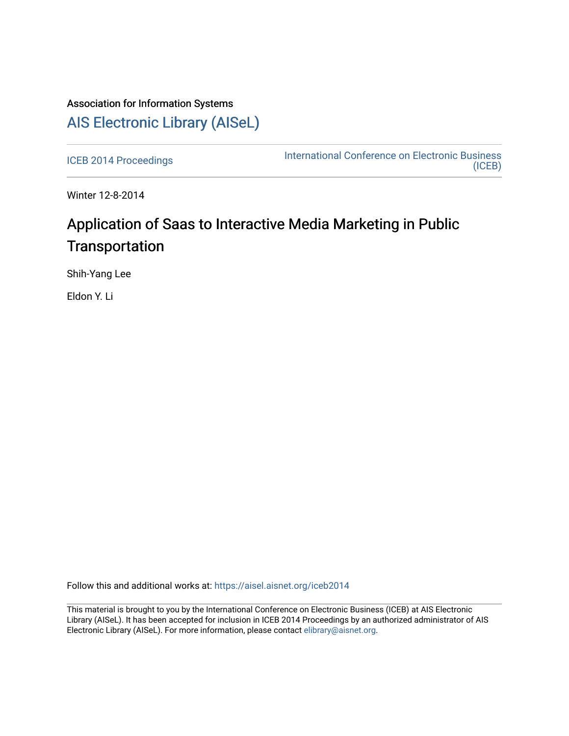# Association for Information Systems [AIS Electronic Library \(AISeL\)](https://aisel.aisnet.org/)

[ICEB 2014 Proceedings](https://aisel.aisnet.org/iceb2014) **International Conference on Electronic Business** [\(ICEB\)](https://aisel.aisnet.org/iceb) 

Winter 12-8-2014

# Application of Saas to Interactive Media Marketing in Public **Transportation**

Shih-Yang Lee

Eldon Y. Li

Follow this and additional works at: [https://aisel.aisnet.org/iceb2014](https://aisel.aisnet.org/iceb2014?utm_source=aisel.aisnet.org%2Ficeb2014%2F54&utm_medium=PDF&utm_campaign=PDFCoverPages)

This material is brought to you by the International Conference on Electronic Business (ICEB) at AIS Electronic Library (AISeL). It has been accepted for inclusion in ICEB 2014 Proceedings by an authorized administrator of AIS Electronic Library (AISeL). For more information, please contact [elibrary@aisnet.org.](mailto:elibrary@aisnet.org%3E)